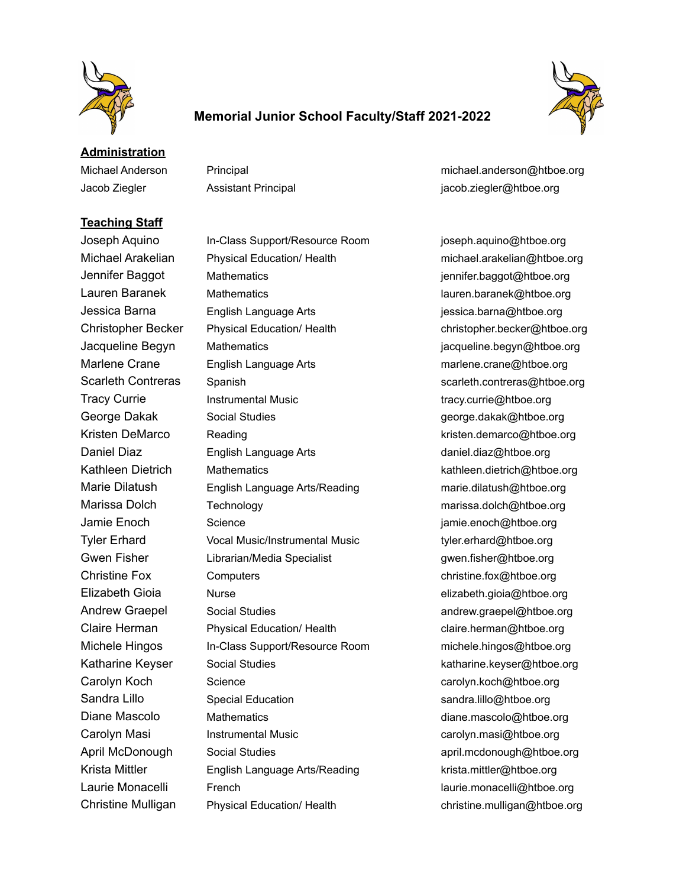

## **Memorial Junior School Faculty/Staff 2021-2022**



**Administration**

Jacob Ziegler Assistant Principal jacob.ziegler@htboe.org

## **Teaching Staff**

Michael Anderson Principal michael.anderson@htboe.org

Joseph Aquino In-Class Support/Resource Room joseph.aquino@htboe.org Michael Arakelian Physical Education/ Health michael.arakelian@htboe.org Jennifer Baggot Mathematics jennifer.baggot@htboe.org Lauren Baranek Mathematics lauren.baranek@htboe.org Jessica Barna English Language Arts jessica.barna@htboe.org Christopher Becker Physical Education/ Health christopher.becker@htboe.org Jacqueline Begyn Mathematics in the state of acqueline.begyn@htboe.org Marlene Crane English Language Arts marlene.crane@htboe.org Scarleth Contreras Spanish Scarleth.contreras@htboe.org Tracy Currie **Instrumental Music Instrumental Music** tracy.currie@htboe.org George Dakak Social Studies and Social Studies and Social Studies and Social Studies and Social Studies and Social Studies and Social Studies and Social Studies and Social Studies and Social Studies and Social Studies and Kristen DeMarco Reading Reading Reading Research 2012 Reading Research 2013 Research 2013 Reading Research 201 Daniel Diaz English Language Arts daniel.diaz@htboe.org Kathleen Dietrich Mathematics **Kathleen.dietrich@htboe.org** kathleen.dietrich@htboe.org Marie Dilatush English Language Arts/Reading marie.dilatush@htboe.org Marissa Dolch Technology marissa.dolch@htboe.org Jamie Enoch Science jamie.enoch@htboe.org Tyler Erhard Vocal Music/Instrumental Music tyler.erhard@htboe.org Gwen Fisher Librarian/Media Specialist in the state gwen.fisher@htboe.org Christine Fox Computers computers christine.fox@htboe.org Elizabeth Gioia Nurse elizabeth.gioia@htboe.org Andrew Graepel Social Studies and the andrew.graepel@htboe.org Claire Herman Physical Education/ Health claire.herman@htboe.org Michele Hingos In-Class Support/Resource Room michele.hingos@htboe.org Katharine Keyser Social Studies katharine.keyser@htboe.org Carolyn Koch Science carolyn.koch@htboe.org Sandra Lillo Special Education School Sandra.lillo@htboe.org Diane Mascolo Mathematics **Mathematics** diane.mascolo@htboe.org Carolyn Masi **Instrumental Music** Carolyn.masi@htboe.org April McDonough Social Studies april.mcdonough@htboe.org Krista Mittler **English Language Arts/Reading** krista.mittler@htboe.org Laurie Monacelli French laurie.monacelli@htboe.org

Christine Mulligan Physical Education/ Health christine.mulligan@htboe.org